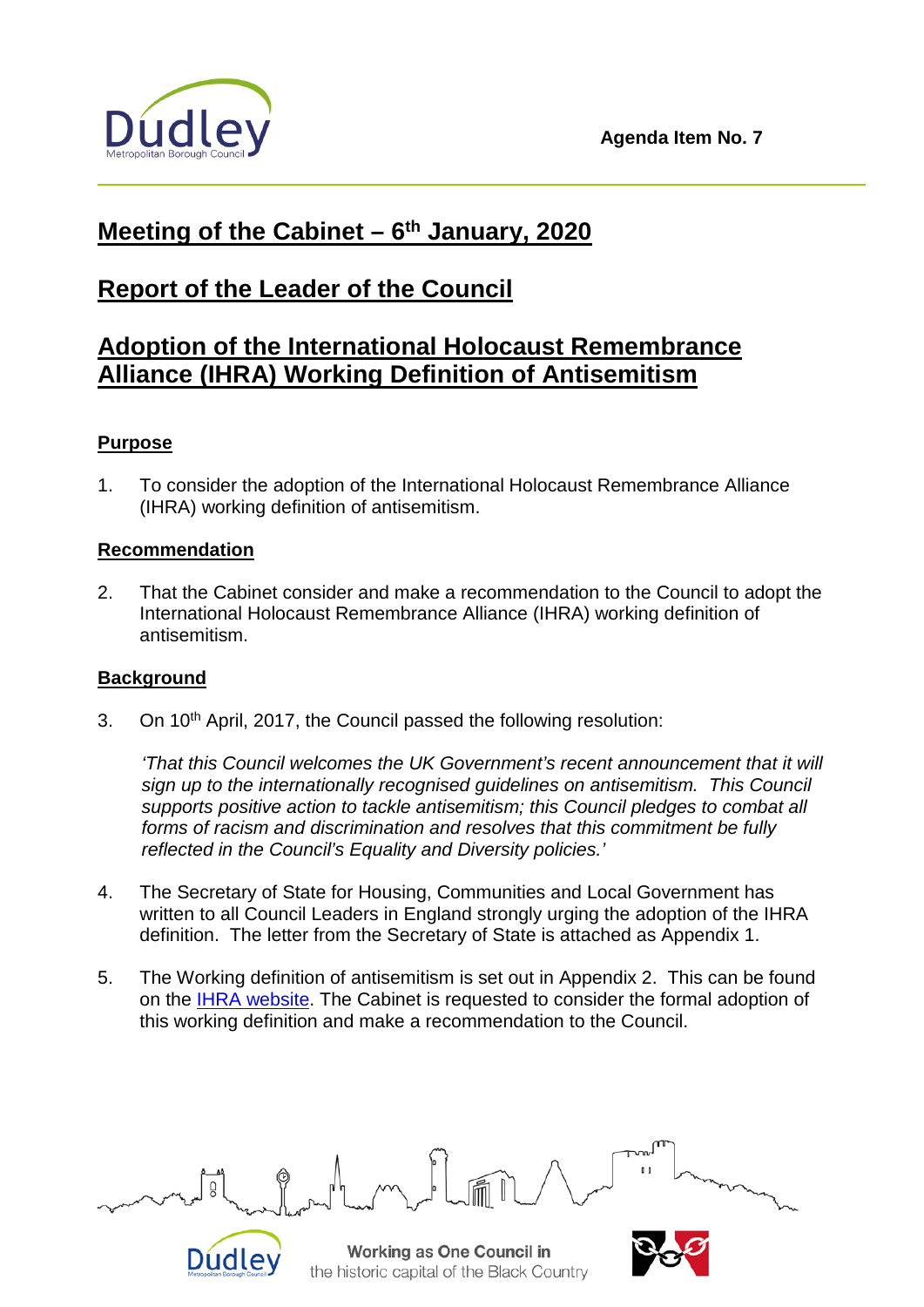

# **Meeting of the Cabinet – 6th January, 2020**

# **Report of the Leader of the Council**

## **Adoption of the International Holocaust Remembrance Alliance (IHRA) Working Definition of Antisemitism**

### **Purpose**

1. To consider the adoption of the International Holocaust Remembrance Alliance (IHRA) working definition of antisemitism.

#### **Recommendation**

2. That the Cabinet consider and make a recommendation to the Council to adopt the International Holocaust Remembrance Alliance (IHRA) working definition of antisemitism.

#### **Background**

Dudle<sup></sup>

3. On 10<sup>th</sup> April, 2017, the Council passed the following resolution:

*'That this Council welcomes the UK Government's recent announcement that it will sign up to the internationally recognised guidelines on antisemitism. This Council supports positive action to tackle antisemitism; this Council pledges to combat all forms of racism and discrimination and resolves that this commitment be fully reflected in the Council's Equality and Diversity policies.'*

- 4. The Secretary of State for Housing, Communities and Local Government has written to all Council Leaders in England strongly urging the adoption of the IHRA definition. The letter from the Secretary of State is attached as Appendix 1.
- 5. The Working definition of antisemitism is set out in Appendix 2. This can be found on the [IHRA website.](https://www.holocaustremembrance.com/working-definition-antisemitism) The Cabinet is requested to consider the formal adoption of this working definition and make a recommendation to the Council.

Ŭ

Working as One Council in the historic capital of the Black Country